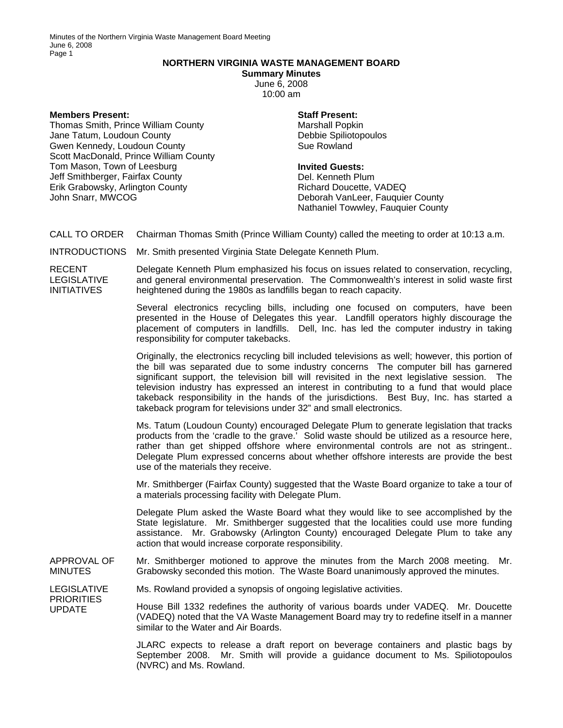## **NORTHERN VIRGINIA WASTE MANAGEMENT BOARD**

**Summary Minutes**  June 6, 2008 10:00 am

## **Members Present:**

Thomas Smith, Prince William County Jane Tatum, Loudoun County Gwen Kennedy, Loudoun County Scott MacDonald, Prince William County Tom Mason, Town of Leesburg Jeff Smithberger, Fairfax County Erik Grabowsky, Arlington County John Snarr, MWCOG

## **Staff Present:**

Marshall Popkin Debbie Spiliotopoulos Sue Rowland

## **Invited Guests:**

Del. Kenneth Plum Richard Doucette, VADEQ Deborah VanLeer, Fauquier County Nathaniel Towwley, Fauquier County

CALL TO ORDER Chairman Thomas Smith (Prince William County) called the meeting to order at 10:13 a.m.

INTRODUCTIONS Mr. Smith presented Virginia State Delegate Kenneth Plum.

RECENT LEGISLATIVE INITIATIVES

Delegate Kenneth Plum emphasized his focus on issues related to conservation, recycling, and general environmental preservation. The Commonwealth's interest in solid waste first heightened during the 1980s as landfills began to reach capacity.

Several electronics recycling bills, including one focused on computers, have been presented in the House of Delegates this year. Landfill operators highly discourage the placement of computers in landfills. Dell, Inc. has led the computer industry in taking responsibility for computer takebacks.

Originally, the electronics recycling bill included televisions as well; however, this portion of the bill was separated due to some industry concerns The computer bill has garnered significant support, the television bill will revisited in the next legislative session. The television industry has expressed an interest in contributing to a fund that would place takeback responsibility in the hands of the jurisdictions. Best Buy, Inc. has started a takeback program for televisions under 32" and small electronics.

Ms. Tatum (Loudoun County) encouraged Delegate Plum to generate legislation that tracks products from the 'cradle to the grave.' Solid waste should be utilized as a resource here, rather than get shipped offshore where environmental controls are not as stringent.. Delegate Plum expressed concerns about whether offshore interests are provide the best use of the materials they receive.

Mr. Smithberger (Fairfax County) suggested that the Waste Board organize to take a tour of a materials processing facility with Delegate Plum.

Delegate Plum asked the Waste Board what they would like to see accomplished by the State legislature. Mr. Smithberger suggested that the localities could use more funding assistance. Mr. Grabowsky (Arlington County) encouraged Delegate Plum to take any action that would increase corporate responsibility.

APPROVAL OF MINUTES Mr. Smithberger motioned to approve the minutes from the March 2008 meeting. Mr. Grabowsky seconded this motion. The Waste Board unanimously approved the minutes.

LEGISLATIVE Ms. Rowland provided a synopsis of ongoing legislative activities.

**PRIORITIES** UPDATE House Bill 1332 redefines the authority of various boards under VADEQ. Mr. Doucette (VADEQ) noted that the VA Waste Management Board may try to redefine itself in a manner similar to the Water and Air Boards.

> JLARC expects to release a draft report on beverage containers and plastic bags by September 2008. Mr. Smith will provide a guidance document to Ms. Spiliotopoulos (NVRC) and Ms. Rowland.